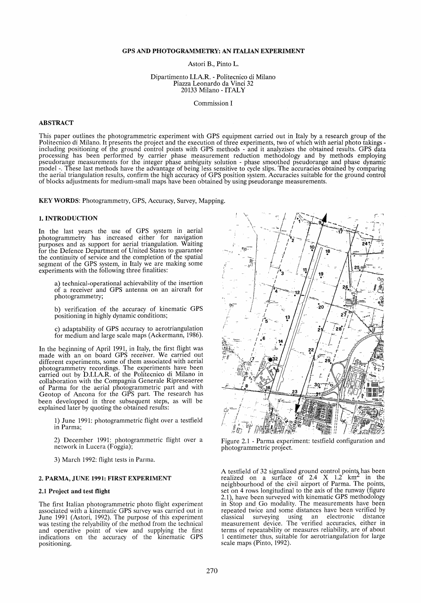Astori B., Pinto L.

Dipartimento LLA.R. - Politecnico di Milano Piazza Leonardo da Vinci 32 20133 Milano - ITALY

Commission I

# **ABSTRACT**

This paper outlines the photogrammetric experiment with GPS equipment carried out in Italy by a research group of the Politecnico di Milano. It presents the project and the execution of three experiments, two of which with aerial photo takings including positioning of the ground control points with GPS methods - and it analyzises the obta processing has been performed by carrier phase measurement reduction methodology and by methods employing pseudorange measurements for the integer phase ambiguity solution - phase smoothed pseudorange and phase dynamic model -. These last methods have the advantage of being less sensitive to cycle slips. The accuracies obtained by comparing the aerial triangulation results, confirm the high accuracy of GPS position system. Accuracies suitable for the ground control of blocks adjustments for medium-small maps have been obtained by using pseudorange measurements.

KEY WORDS: Photogrammetry, GPS, Accuracy, Survey, Mapping.

# 1. INTRODUCTION

In the last years the use of GPS system in aerial photogrammetry has increased either for navigation purposes and as support for aerial triangulation. Waiting for the Defence Department of United States to guarantee the continuity of service and the completion of the spatial segment of the GPS system, in Italy we are making some experiments with the following three finalities:

a) technical-operational achievability of the insertion of a receiver and GPS antenna on an aircraft for photogrammetry;

b) verification of the accuracy of kinematic GPS positioning in highly dynamic conditions;

c) adaptability of GPS accuracy to aerotriangulation for medium and large scale maps (Ackermann, 1986).

In the beginning of April 1991, in Italy, the first flight was made with an on board GPS receiver. We carried out different experiments, some of them associated with aerial photogrammetry recordings. The experiments have been carried out by D.LLA.R. of the Politecnico di Milano in collaboration with the Compagnia Generale Ripreseaeree of Parma for the aerial photogrammetric part and with Geotop of Ancona for the GPS part. The research has been developped in three subsequent steps, as will be explained later by quoting the obtained results:

*1) lune* 1991: photogrammetric flight over a testfield in Parma;

2) December 1991: photogrammetric flight over a network in Lucera (Foggia);

3) March 1992: flight tests in Parma.

### 2. PARMA, JUNE 1991: FIRST EXPERIMENT

#### 2.1 Project and test flight

The first Italian photogrammetric photo flight experiment associated with a kinematic GPS survey was carried out in lune 1991 (Astori, 1992). The purpose of this experiment was testing the relyability of the method from the technical and operative point of view and supplying the first indications on the accuracy of the kinematic GPS positioning.



Figure 2.1 - Parma experiment: testfield configuration and photogrammetric project.

A testfield of 32 signalized ground control points has been realized on a surface of 2.4 X 1.2  $km^2$  in the neighbourhood of the civil airport of Parma. The points, set on 4 rows longitudinal to the axis of the runway (figure 2.1), have been surveyed with kinematic GPS methodology in Stop and Go modality. The measurements have been repeated twice and some distances have been verified by classical surveying using an electronic distance measurement device. The verified accuracies, either in terms of repeatability or measures reliability, are of about 1 centimeter thus, suitable for aerotriangulation for large scale maps (Pinto, 1992).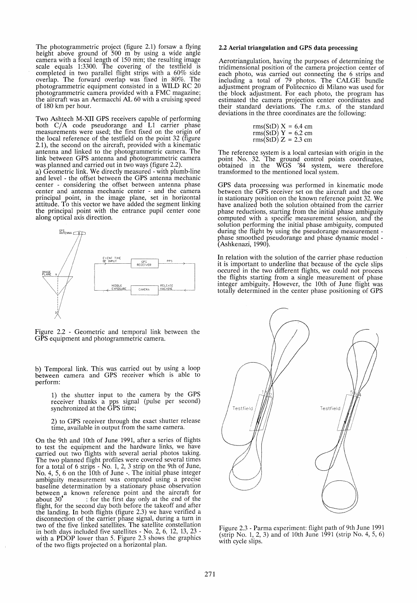The photogrammetric project (figure 2.1) forsaw a flying height above ground of 500 m by using a wide angle height above ground of 500 m by using a wide angle camera with a focal length of 150 mm; the resulting image scale equals 1:3300. The covering of the testfield is completed in two parallel flight strips with a 60% side overlap. The forward overlap was fixed in 80%. The photogrammetric equipment consisted in a WILD RC 20 photogrammetric camera provided with a FMC magazine; the aircraft was an Aermacchi AL 60 with a cruising speed of 180 km per hour.

Two Ashtech M-XII GPS receivers capable of performing both C/A code pseudorange and L1 carrier phase measurements were used; the first fixed on the origin of the local reference of the testfield on the point 32 (figure 2.1), the second on the aircraft, provided with a kinematic antenna and linked to the photogrammetric camera. The link between GPS antenna and photogrammetric camera was planned and carried out in two ways (figure 2.2).

a) Geometric link. We directly measured - with plumb-line and level - the offset between the GPS antenna mechanic center - considering the offset between antenna phase center and antenna mechanic center - and the camera principal point, in the image plane, set in horizontal attitude. To this vector we have added the segment linking the principal point with the entrance pupil center cone along optical axis direction.



Figure 2.2 - Geometric and temporal link between the GPS equipment and photogrammetric camera.

b) Temporal link. This was carried out by using a loop between camera and GPS receiver which is able to perform:

1) the shutter input to the camera by the GPS receiver thanks a pps signal (pulse per second) synchronized at the GPS time;

2) to GPS receiver through the exact shutter release time, available in output from the same camera.

On the 9th and 10th of June 1991, after aseries of flights to test the equipment and the hardware links, we have carried out two flights with several aerial photos taking. The two planned flight profiles were covered several times for a total of 6 strips - No. 1, 2, 3 strip on the 9th of June, No. 4, 5, 6 on the 10th of June -. The initial phase integer ambiguity measurement was computed using a precise baseline determination by a stationary phase observation between a known reference point and the aircraft for about 30<sup>\*</sup>: for the first day only at the end of the  $\therefore$  for the first day only at the end of the flight, for the second day both before the takeoff and after<br>the landing. In both flights (figure 2.3) we have verified a disconnection of the carrier phase signal, during a turn in two of the five linked satellites. The satellite constellation in both days included five satellites - No. 2, 6, 12, 13, 23 - with a PDOP lower than 5. Figure 2.3 shows the graphics of the two fligts projected on a horizontal plan.

### 2.2 Aerial triangulation and GPS data processing

Aerotriangulation, having the purposes of determining the tridimensional position of the camera projection center of each photo, was carried out connecting the 6 strips and including a total of 79 photos. The CALGE bundle adjustment program of Politecnico di Milano was used for the block adjustment. For each photo, the program has estimated the camera projection center coordinates and their standard deviations. The r.m.s. of the standard deviations in the three coordinates are the following:

|  |  | rms(StD) $X = 6.4$ cm<br>rms(StD) $Y = 6.2$ cm<br>rms(StD) $Z = 2.3$ cm |
|--|--|-------------------------------------------------------------------------|
|  |  |                                                                         |

The reference system is a local cartesian with origin in the point No. 32. The ground control points coordinates, obtained in the WGS '84 system, were therefore transformed to the mentioned local system.

GPS data processing was performed in kinematic mode between the GPS receiver set on the aircraft and the one in stationary position on the known reference point 32. We have analized both the solution obtained from the carrier phase reductions, starting from the initial phase ambiguity computed with a specific measurement session, and the solution performing the initial phase ambiguity, computed during the flight by using the pseudorange measurement during the flight by using the pseudorange measurement - phase smoothed pseudorange and phase dynamic model - (Ashkenazi, 1990).

In relation with the solution of the carrier phase reduction it is important to underline that because of the cycle slips occured in the two different flights, we could not process the flights starting from a single measurement of phase integer ambiguity. However, the 10th of June flight was totally determined in the center phase positioning of GPS



Figure 2.3 - Parma experiment: flight path of 9th June 1991 (strip No. 1, 2, 3) and of 10th *lune* 1991 (stnp No. 4, 5, 6) with cycle slips.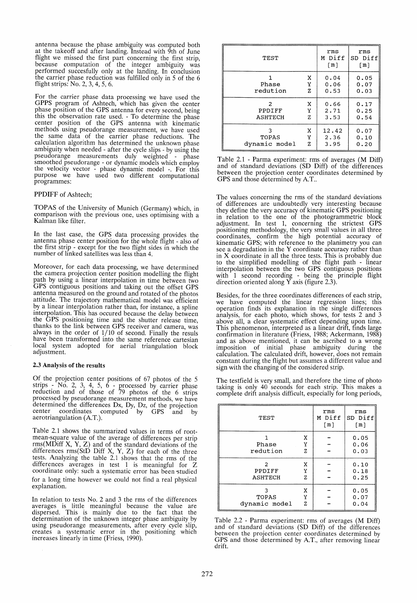antenna because the phase ambiguity was computed both at the take off and after landing. Instead with 9th of lune flight we missed the first part concerning the first strip, because computation of the integer ambiguity was performed succesfully only at the landing. In conclusion the carrier phase reduction was fulfilled only in 5 of the 6 flight strips: No. 2, 3, 4, 5, 6.

For the carrier phase data processing we have used the GPPS program of Ashtech, which has given the center phase position of the GPS antenna for every second, being this the observation rate used. - To determine the phase center position of the GPS antenna with kinematic methods using pseudorange measurement, we have used the same data of the carrier phase reductions. The ca1culation algorithm has determined the unknown phase ambiguity when needed - after the cycle slips - by using the pseudorange measurements duly weighted - phase smoothed pseudorange - or dynamic models which employ the velocity vector - phase dynamic model -. For this purpose we have used two different computational programmes:

### PPDIFF of Ashtech;

TOPAS of the University of Munich (Germany) which, in comparison with the previous one, uses optimising with a KaIman like filter.

In the last case, the GPS data processing provides the antenna phase center position for the whole flight - also of the first strip - except for the two flight sides in which the number of linked satellites was less than 4.

Moreover, for each data processing, we have determined the camera projection center position modelling the flight path by using a linear interpolation in time between two GPS contiguous positions and taking out the offset GPS antenna measured on the ground and rotated of the photos attitude. The trajectory mathematical model was efficient by a linear interpolation rather than, for instance, a spline interpolation. This has occured because the delay between the GPS positioning time and the shutter release time, thanks to the link between GPS receiver and camera, was always in the order of 1/10 of second. Finally the resuls have been transformed into the same reference cartesian local system adopted for aerial triangulation block adjustment.

#### 2.3 Analysis of the results

Of the projection center positions of 67 photos of the 5 strips - No. 2, 3, 4, 5, 6 - processed by carrier phase reduction and of those of 79 photos of the 6 strips processed by pseudorange measurement methods, we have determined the differences Dx, Dy, Dz, of the projection center coordinates computed by GPS and by aerotriangulation (A.T.).

Table 2.1 shows the summarized values in terms of rootmean-square value of the average of differences per strip rms(MDiff X, Y, Z) and of the standard deviations of the differences rms(StD Diff X, Y, Z) for each of the three tests. Analyzing the table 2.1 shows that the rms of the differences averages in test 1 is meaningful for Z coordinate only: such a systematic error has been studied for a long time however we could not find a real physical explanation.

In relation to tests No. 2 and 3 the rms of the differences averages is little meaningful because the value are dispersed. This is mainly due to the fact that the dispersed. This is mainly due to the fact that the determination of the unknown integer phase ambiguity by using pseudorange measurements, after every cycle slip, creates a systematic error in the positioning which increases linearly in time (Friess, 1990).

| TEST              |             | rms<br>M Diff<br>[m] | rms<br>SD Diff<br>$\lceil m \rceil$ |
|-------------------|-------------|----------------------|-------------------------------------|
| Phase<br>redution | x<br>Υ<br>z | 0.04<br>0.06<br>0.53 | 0.05<br>0.07<br>0.03                |
| 2                 | x           | 0.66                 | 0.17                                |
| PPDIFF            | Υ           | 2.71                 | 0.25                                |
| ASHTECH           | z           | 3.53                 | 0.54                                |
| 3                 | X           | 12.42                | 0.07                                |
| TOPAS             | Υ           | 2.36                 | 0.10                                |
| dynamic model     | z           | 3.95                 | 0.20                                |

Table 2.1 - Parma experiment: rms of averages (M Diff) and of standard deviations (SD Diff) of the differences between the projection center coordinates determined by GPS and those determined by A.T..

The values concerning the rms of the standard deviations of differences are undoubtedly very interesting because they define the very accuracy of kinematic GPS positioning in relation to the one of the photogrammetric block adjustment. In test 1, concerning the strictest GPS positioning methodology, the very small values in all three coordinates, confirm the high potential accuracy of kinematic GPS; with reference to the planimetry you can see a degradation in the Y coordinate accuracy rather than in  $X$  coordinate in all the three tests. This is probably due to the simplified modelling of the flight path - linear interpolation between the two GPS contiguous positions with  $1$  second recording - being the principle flight direction oriented along  $\overline{Y}$  axis (figure 2.3).

Besides, for the three coordinates differences of each strip, we have computed the linear regression lines; this operation finds its explanation in the single differences analysis, for each photo, which shows, for tests 2 and 3 above all, a clear systematic effect depending upon time. This phenomenon, interpreted as a linear drift, finds large confirmation in literature (Friess, 1988; Ackermann, 1988) and as above mentioned, it can be ascribed to a wrong imposition of initial phase ambiguity during the calculation. The calculated drift, however, does not remain constant during the flight but assurnes a different value and sign with the changing of the considered strip.

The testfield is very small, and therefore the time of photo taking is only 40 seconds for each strip. This makes a complete drift analysis difficult, especially for long periods,

| TEST                   |             | rms<br>M Diff<br>$\lceil m \rceil$ | rms<br>SD Diff<br>$\lceil m \rceil$ |
|------------------------|-------------|------------------------------------|-------------------------------------|
| Phase<br>redution      | X<br>Υ<br>ż |                                    | 0.05<br>0.06<br>0.03                |
| 2<br>PPDIFF<br>ASHTECH | x<br>Y<br>Z |                                    | 0.10<br>0.18<br>0.25                |
| TOPAS<br>dynamic model | x<br>Υ<br>z |                                    | 0.05<br>0.07<br>0.04                |

Table 2.2 - Parma experiment: rms of averages (M Diff) and of standard deviations (SD Diff) of the differences between the projection center coordinates determined by GPS and those determined by AT., after removing linear drift.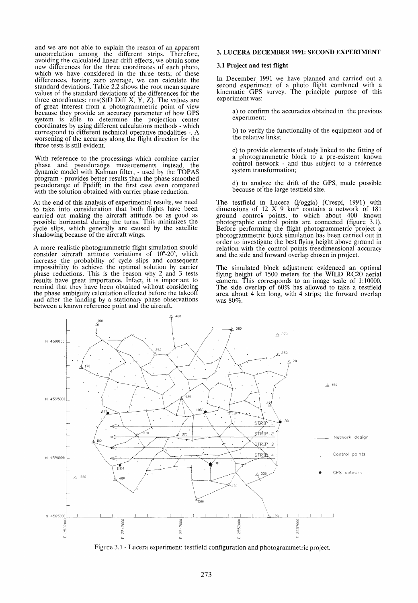and we are not able to explain the reason of an apparent uncorrelation among the different strips. Therefore, avoiding the calculated linear drift effects, we obtain some new differences for the three coordinates of each photo, which we have considered in the three tests; of these differences, having zero average, we can calculate the standard deviations. Table 2.2 shows the root mean square values of the standard deviations of the differences for the three coordinates: rms(StD Diff X, Y, Z). The values are of great interest from a photogrammetric point of view because they provide an accuracy parameter of how GPS system is able to determine the projection center coordinates by using different calculations methods - which correspond to different technical operative modalities -. A worsening of the accuracy along the flight direction for the three tests is still evident.

With reference to the processings which combine carrier phase and pseudorange measurements instead, the dynamic model with KaIman filter, - used by the TOPAS program - provides better results than the phase smoothed pseudorange of Ppdiff; in the first case even compared with the solution obtained with carrier phase reduction.

At the end of this analysis of experimental results, we need to take into consideration that both flights have been carried out making the aircraft attitude be as good as possible horizontal during the turns. This minimizes the cycle slips, which generally are caused by the satellite shadowing because of the aircraft wings.

A more realistic photogrammetric flight simulation should consider aircraft attitude variations of  $10^{\circ}$ -20°, which increase the probability of cycle slips and consequent impossibility to achieve the optimal solution by carrier phase reductions. This is the reason why 2 and 3 tests results have great importance. Infact, it is important to remind that they have been obtained without considering the phase ambiguity calculation effected before the takeoff and after the landing by a stationary phase observations between a known reference point and the aircraft.

### 3. LUCERA DECEMBER 1991: SECOND EXPERIMENT

#### 3.1 Project and test flight

In December 1991 we have planned and carried out a second experiment of a photo flight combined with a kinematic GPS survey. The principle purpose of this experiment was:

a) to confirm the accuracies obtained in the previous experiment;

b) to verify the functionality of the equipment and of the relative links;

c) to provide elements of study linked to the fitting of a photogrammetric block to apre-existent known control network - and thus subject to a reference system transformation;

d) to analyze the drift of the GPS, made possible because of the large testfield size.

The testfield in Lucera q'0ggia) (Crespi, 1991) with dimensions of 12 X 9  $km^2$  contains a network of 181 ground control points, to which about 400 known photographic control points are connected (figure 3.1). Before performing the flight photogrammetric project a photogrammetric block simulation has been carried out in order to investigate the best flying height above ground in relation with the control points treedimensional accuracy and the side and forward overlap chosen in project.

The simulated block adjustment evidenced an optimal flying height of 1500 meters for the WILD RC20 aerial camera. This corresponds to an image scale of 1:10000.<br>The side overlap of 60% has allowed to take a testfield area about 4 km long, with 4 strips; the forward overlap was 80%.



Figure 3.1 - Lucera experiment: testfield configuration and photogrammetric project.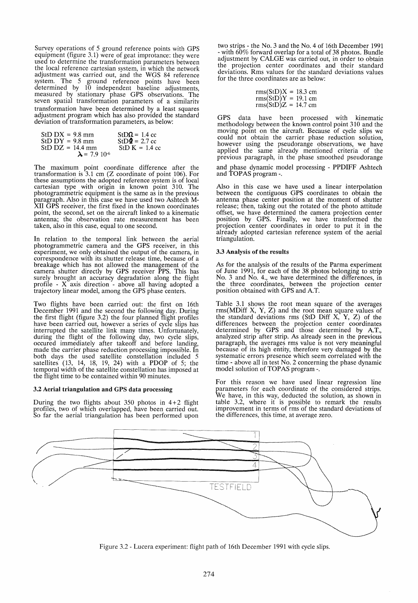Survey operations of 5 ground reference points with GPS equipment (figure 3.1) were of geat improtance: they were used to determine the transformation parameters between the local reference cartesian system, in which the network adjustment was carried out, and the WGS 84 reference system. The 5 ground reference points have been determined by 19 independent baseline adjustments, measured by stationary phase GPS observations. The seven spatial transformation parameters of a similarity transformation have been determined by a least squares adjustment program which has also provided the standard deviation of transformation parameters, as below:

| $StD$ $DX = 9.8$ mm              | $StD\Omega = 1.4$ cc |
|----------------------------------|----------------------|
| $StD DY = 9.8 mm$                | $StD\Phi = 2.7$ cc   |
| $StD$ $DZ = 14.4$ mm             | $StD K = 1.4$ cc     |
| $\lambda$ = 7.9 10 <sup>-6</sup> |                      |

The maximum point coordinate difference after the transformation is 3.1 cm (Z coordinate of point 106). For these assumptions the adopted reference system is of local cartesian type with origin in known point 310. The photogrammetric equipment is the same as in the previous paragraph. Also in this case we have used two Ashtech M-XII GPS receiver, the first fixed in the known coordinates point, the second, set on the aircraft linked to a kinematic antenna; the observation rate measurement has been taken, also in this case, equal to one second.

In relation to the temporal link between the aerial photogrammetric camera and the GPS receiver, in this experiment, we only obtained the output of the camera, in correspondence with its shutter release time, because of a breakage which has not allowed the management of the camera shutter direct1y by GPS receiver PPS. This has surely brought an accuracy degradation along the flight profile - X axis direction - above all having adopted a trajectory linear model, among the GPS phase centers.

Two flights have been carried out: the first on 16th December 1991 and the second the following day. During the first flight (figure 3.2) the four planned flight profiles have been carried out, however a series of cycle slips has interrupted the satellite link many times. Unfortunately, during the flight of the following day, two cycle slips, occured immediately after takeoff and before landing, made the carrier phase reduction processing impossible. In both days the used satellite constellation included 5 satellites (13, 14, 18, 19, 24) with a PDOP of 5; the temporal width of the satellite constellation has imposed at the flight time to be contained within 90 minutes.

#### 3.2 Aerial triangulation and GPS data processing

During the two flights about 350 photos in  $4+2$  flight profiles, two of which overlapped, have been carried out. So far the aerial triangulation has been performed upon two strips - the No. 3 and the No. 4 of 16th December 1991 - with 60% forward overlap for a total of 38 photos. Bundle adjustment by CALGE was carried out, in order to obtain the projection center coordinates and their standard deviations. Rms values for the standard deviations values for the three coordinates are as below:

$$
rms(StD)X = 18.3 cm
$$
  
\n
$$
rms(StD)Y = 19.1 cm
$$
  
\n
$$
rms(StD)Z = 14.7 cm
$$

GPS data have been processed with kinematic methodology between the known control point 310 and the moving point on the aircraft. Because of cycle slips we could not obtain the carrier phase reduction solution, however using the pseudorange observations, we have applied the same already mentioned criteria of the previous paragraph, in the phase smoothed pseudorange and phase dynamic model processing - PPDIFF Ashtech and TOPAS program -.

Also in this case we have used a linear interpolation between the contiguous GPS coordinates to obtain the antenna phase center position at the moment of shutter release; then, taking out the rotated of the photo attitude offset, we have determined the camera projection center position by GPS. Finally, we have transformed the projection center coordinates in order to put it in the already adopted cartesian reference system of the aerial triangulation.

#### 3.3 Analysis of the results

As for the analysis of the results of the Parma experiment of June 1991, for each of the 38 photos belonging to strip No. 3 and No. 4., we have determined the differences, in the three coordinates, between the projection center position obtained with GPS and A.T.

Table 3.1 shows the root mean square of the averages rms(MDiff X, Y, Z) and the root mean square values of the standard deviations rms (StD Diff  $X$ ,  $Y$ ,  $Z$ ) of the differences between the projection center coordinates determined by GPS and those determined by A.T., analyzed strip after strip. As already seen in the previous paragraph, the averages rms value is not very meaningful because of its high entity, therefore very damaged by the systematic errors presence which seem correlated with the time - above all in test No. 2 concerning the phase dynamic model solution of TOPAS program -.

For this reason we have used linear regression line parameters for each coordinate of the considered strips. We have, in this way, deducted the solution, as shown in table 3.2, where it is possible to remark the results improvement in terms of rms of the standard deviations of the differences, this time, at average zero.



Figure 3.2 - Lucera experiment: flight path of 16th December 1991 with cycle slips.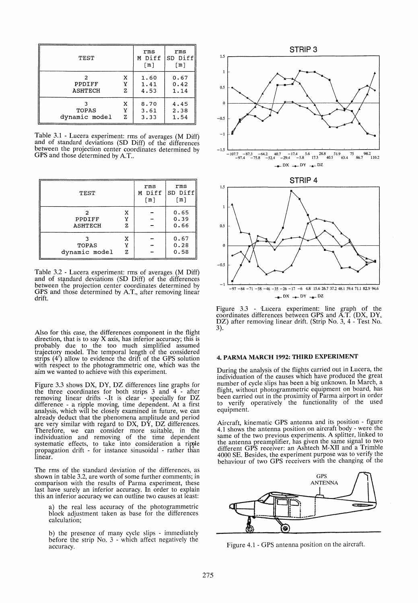| TEST                     |         | rms<br>M Diff<br>[m] | rms<br>SD Diff<br>[m] |
|--------------------------|---------|----------------------|-----------------------|
| PPDIFF<br><b>ASHTECH</b> | x<br>7. | 1.60<br>1.41<br>4.53 | 0.67<br>0.42<br>1.14  |
| TOPAS<br>dynamic model   | x<br>7. | 8.70<br>3.61<br>3.33 | 4.45<br>2.38<br>1.54  |

Table 3.1 - Lucera experiment: rms of averages (M Diff) and of standard deviations (SD Diff) of the differences between the projection center coordinates determined by GPS and those determined by A.T..

| TEST                   |             | rms<br>M Diff<br>[m] | rms<br>SD Diff<br>$\lceil m \rceil$ |
|------------------------|-------------|----------------------|-------------------------------------|
| PPDIFF<br>ASHTECH      | x<br>Y<br>z |                      | 0.65<br>0.39<br>0.66                |
| TOPAS<br>dynamic model | x<br>Y<br>Z |                      | 0.67<br>0.28<br>0.58                |

Table 3.2 - Lucera experiment: rms of averages (M Diff) and of standard deviations (SD Diff) of the differences between tbe projection center coordinates determined by GPS and those determined by A.T., after removing linear drift.

Also for this case, the differences component in the flight direction, that is to say X axis, has inferior accuracy; this is probably due to the too much simplified assumed traJectory model. The temporal length of the considered strips (4') allow to evidence the drift of the GPS solution with respect to the photogrammetric one, which was the aim we wanted to achieve with this experiment.

Figure 3.3 shows DX, DY, DZ differences line graphs for the three coordinates for both strips 3 and 4 - after removing linear drifts -.It is clear - specially for DZ difference - a ripple moving, time dependent. At a first analysis, which will be closely examined in future, we can already deduct that the phenomena amplitude and period are very similar with regard to DX, DY, DZ differences. Therefore, we can consider more suitable, in the individuation and removing of the time dependent systematic effects, to take into consideration a ripple propagation drift - for instance sinusoidal - rather than linear.

The rms of the standard deviation of the differences, as shown in table 3.2, are worth of some further comments; in comparison with the results of Parma experiment, these last have surely an inferior accuracy. In order to explain this an inferior accuracy we can outline two causes at least:

a) the real less accuracy of the photogrammetric block adjustment taken as base for the differences calculation;

b) the presence of many cycle slips - immediately before the strip No. 3 - which affect negatively the accuracy.



 $-97 - 84 - 71 - 58 - 46 - 35 - 26 - 17 - 6$  4.8 15.6 26.7 37.2 48.1 59.4 71.1 82.9 94.6  $DX \rightarrow DY \rightarrow DZ$ 

Figure 3.3 - 'Lucera experiment: line graph of the coordinates differences between GPS and A.T. (DX, DY, DZ) after removing linear drift. (Strip No. 3, 4 - Test No. 3).

# 4. PARMA MARCH 1992: THIRD EXPERIMENT

During the analysis of the flights carried out in Lucera, the individuation of the causes which have produced the great number of cycle slips has been a big unknown. In March, a flight, without photogrammetric equipment on board, has been carried out in the proximity of Parma airport in order to verify operatively the functionality of the used equipment.

Aircraft, kinematic GPS antenna and its position - figure same of the two previous experiments. A splitter, linked to the antenna preamplifier, has given the same signal to two different GPS receiver: an Ashtech M-XII and a Trimble 4000 SE. Besides, the experiment purpose was to verify the behaviour of two GPS receivers with the changing of the



Figure 4.1 - GPS antenna position on the aircraft.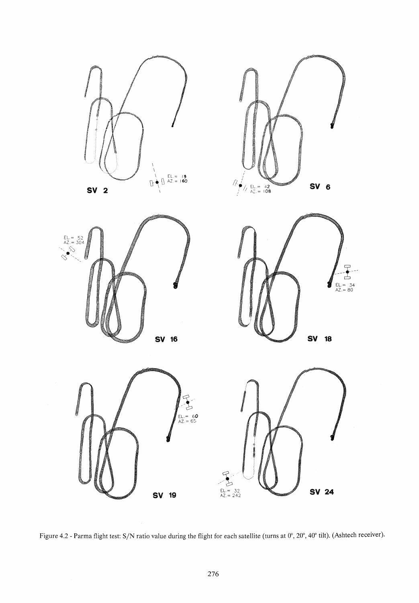